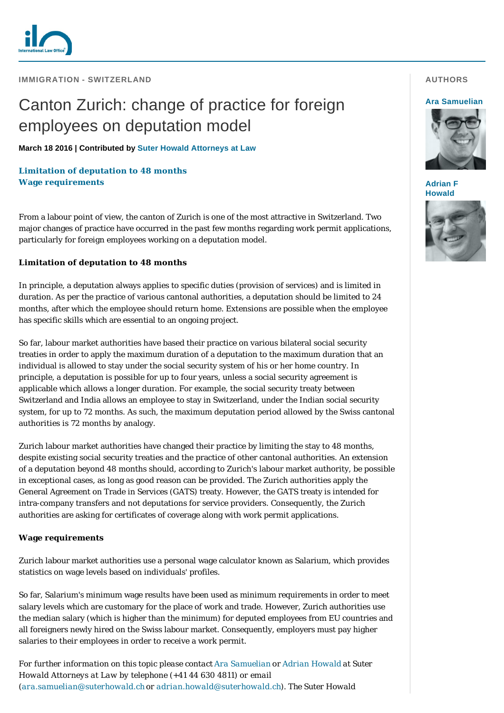

**IMMIGRATION - SWITZERLAND** 

# Canton Zurich: change of practice for foreign employees on deputation model

**March 18 2016 | Contributed by [Suter Howald Attorneys at Law](http://www.internationallawoffice.com/gesr.ashx?l=7QW8HU3)**

## **[Limitation of deputation to 48 months](#page-0-0) [Wage requirements](#page-0-1)**

From a labour point of view, the canton of Zurich is one of the most attractive in Switzerland. Two major changes of practice have occurred in the past few months regarding work permit applications, particularly for foreign employees working on a deputation model.

### <span id="page-0-0"></span>**Limitation of deputation to 48 months**

In principle, a deputation always applies to specific duties (provision of services) and is limited in duration. As per the practice of various cantonal authorities, a deputation should be limited to 24 months, after which the employee should return home. Extensions are possible when the employee has specific skills which are essential to an ongoing project.

So far, labour market authorities have based their practice on various bilateral social security treaties in order to apply the maximum duration of a deputation to the maximum duration that an individual is allowed to stay under the social security system of his or her home country. In principle, a deputation is possible for up to four years, unless a social security agreement is applicable which allows a longer duration. For example, the social security treaty between Switzerland and India allows an employee to stay in Switzerland, under the Indian social security system, for up to 72 months. As such, the maximum deputation period allowed by the Swiss cantonal authorities is 72 months by analogy.

Zurich labour market authorities have changed their practice by limiting the stay to 48 months, despite existing social security treaties and the practice of other cantonal authorities. An extension of a deputation beyond 48 months should, according to Zurich's labour market authority, be possible in exceptional cases, as long as good reason can be provided. The Zurich authorities apply the General Agreement on Trade in Services (GATS) treaty. However, the GATS treaty is intended for intra-company transfers and not deputations for service providers. Consequently, the Zurich authorities are asking for certificates of coverage along with work permit applications.

### <span id="page-0-1"></span>**Wage requirements**

Zurich labour market authorities use a personal wage calculator known as Salarium, which provides statistics on wage levels based on individuals' profiles.

So far, Salarium's minimum wage results have been used as minimum requirements in order to meet salary levels which are customary for the place of work and trade. However, Zurich authorities use the median salary (which is higher than the minimum) for deputed employees from EU countries and all foreigners newly hired on the Swiss labour market. Consequently, employers must pay higher salaries to their employees in order to receive a work permit.

*For further information on this topic please contact [Ara Samuelian](http://www.internationallawoffice.com/gesr.ashx?l=7QW8HU6) or [Adrian Howald](http://www.internationallawoffice.com/gesr.ashx?l=7QW8HU9) at Suter Howald Attorneys at Law by telephone (+41 44 630 4811) or email ([ara.samuelian@suterhowald.ch](mailto:ara.samuelian@suterhowald.ch?subject=Article%20on%20ILO) or [adrian.howald@suterhowald.ch](mailto:adrian.howald@suterhowald.ch?subject=Article%20on%20ILO)). The Suter Howald* 

#### **AUTHORS**

#### **[Ara Samuelian](http://www.internationallawoffice.com/gesr.ashx?l=7QW8HU6)**



**[Adrian F](http://www.internationallawoffice.com/gesr.ashx?l=7QW8HUJ)  Howald**